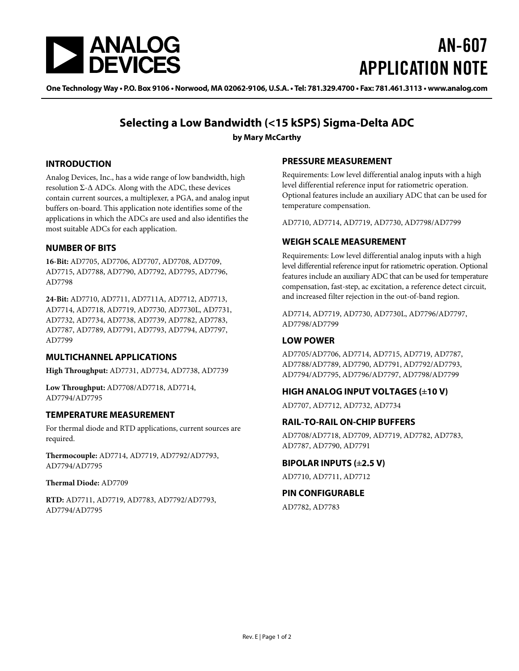

# AN-607 APPLICATION NOTE

One Technology Way • P.O. Box 9106 • Norwood, MA 02062-9106, U.S.A. • Tel: 781.329.4700 • Fax: 781.461.3113 • www.analog.com

### **Selecting a Low Bandwidth (<15 kSPS) Sigma-Delta ADC by Mary McCarthy**

#### **INTRODUCTION**

Analog Devices, Inc., has a wide range of low bandwidth, high resolution Σ- $Δ$  ADCs. Along with the ADC, these devices contain current sources, a multiplexer, a PGA, and analog input buffers on-board. This application note identifies some of the applications in which the ADCs are used and also identifies the most suitable ADCs for each application.

#### **NUMBER OF BITS**

**16-Bit:** [AD7705,](http://www.analog.com/AD7705) [AD7706,](http://www.analog.com/AD7706) [AD7707](http://www.analog.com/AD7707), [AD7708](http://www.analog.com/AD7708), [AD7709](http://www.analog.com/AD7709), [AD7715,](http://www.analog.com/AD7715) [AD7788,](http://www.analog.com/AD7788) [AD7790,](http://www.analog.com/AD7790) [AD7792](http://www.analog.com/AD7792), [AD7795](http://www.analog.com/AD7795), [AD7796](http://www.analog.com/AD7796), [AD7798](http://www.analog.com/AD7798)

**24-Bit:** [AD7710,](http://www.analog.com/AD7710) [AD7711,](http://www.analog.com/AD7711) [AD7711A,](http://www.analog.com/AD7711A) [AD7712,](http://www.analog.com/AD7712) [AD7713,](http://www.analog.com/AD7713) [AD7714,](http://www.analog.com/AD7714) [AD7718,](http://www.analog.com/AD7718) [AD7719,](http://www.analog.com/AD7719) [AD7730](http://www.analog.com/AD7730), [AD7730L](http://www.analog.com/AD7730L), [AD7731](http://www.analog.com/AD7731), [AD7732,](http://www.analog.com/AD7732) [AD7734,](http://www.analog.com/AD7734) [AD7738,](http://www.analog.com/AD7738) [AD7739](http://www.analog.com/AD7739), [AD7782](http://www.analog.com/AD7782), [AD7783](http://www.analog.com/AD7783), [AD7787,](http://www.analog.com/AD7787) [AD7789,](http://www.analog.com/AD7789) [AD7791,](http://www.analog.com/AD7791) [AD7793](http://www.analog.com/AD7793), [AD7794](http://www.analog.com/AD7794), [AD7797](http://www.analog.com/AD7797), [AD7799](http://www.analog.com/AD7799)

#### **MULTICHANNEL APPLICATIONS**

**High Throughput:** [AD7731](http://www.analog.com/AD7731), [AD7734](http://www.analog.com/AD7734), [AD7738](http://www.analog.com/AD7738), [AD7739](http://www.analog.com/AD7739)

**Low Throughput:** [AD7708/](http://www.analog.com/AD7708)[AD7718,](http://www.analog.com/AD7718) [AD7714,](http://www.analog.com/AD7714) [AD7794/](http://www.analog.com/AD7794)[AD7795](http://www.analog.com/AD7795)

#### **TEMPERATURE MEASUREMENT**

For thermal diode and RTD applications, current sources are required.

**Thermocouple:** [AD7714,](http://www.analog.com/AD7714) [AD7719,](http://www.analog.com/AD7719) [AD7792](http://www.analog.com/AD7792)[/AD7793,](http://www.analog.com/AD7793) [AD7794/](http://www.analog.com/AD7794)[AD7795](http://www.analog.com/AD7795)

**Thermal Diode:** AD7709

**RTD:** [AD7711,](http://www.analog.com/AD7711) [AD7719,](http://www.analog.com/AD7719) [AD7783,](http://www.analog.com/AD7783) [AD7792/](http://www.analog.com/AD7792)[AD7793,](http://www.analog.com/AD7793) [AD7794/](http://www.analog.com/AD7794)[AD7795](http://www.analog.com/AD7795)

#### **PRESSURE MEASUREMENT**

Requirements: Low level differential analog inputs with a high level differential reference input for ratiometric operation. Optional features include an auxiliary ADC that can be used for temperature compensation.

[AD7710,](http://www.analog.com/AD7710) [AD7714,](http://www.analog.com/AD7714) [AD7719,](http://www.analog.com/AD7719) [AD7730](http://www.analog.com/AD7730), [AD7798](http://www.analog.com/AD7798)[/AD7799](http://www.analog.com/AD7799)

#### **WEIGH SCALE MEASUREMENT**

Requirements: Low level differential analog inputs with a high level differential reference input for ratiometric operation. Optional features include an auxiliary ADC that can be used for temperature compensation, fast-step, ac excitation, a reference detect circuit, and increased filter rejection in the out-of-band region.

[AD7714,](http://www.analog.com/AD7714) [AD7719,](http://www.analog.com/AD7719) [AD7730,](http://www.analog.com/AD7730) [AD7730L](http://www.analog.com/AD7730L), [AD7796](http://www.analog.com/AD7796)[/AD7797](http://www.analog.com/AD7797), [AD7798/](http://www.analog.com/AD7798)[AD7799](http://www.analog.com/AD7799)

#### **LOW POWER**

[AD7705/](http://www.analog.com/AD7705)[AD7706,](http://www.analog.com/AD7706) [AD7714,](http://www.analog.com/AD7714) [AD7715,](http://www.analog.com/AD7715) [AD7719](http://www.analog.com/AD7719), [AD7787](http://www.analog.com/AD7787), [AD7788/](http://www.analog.com/AD7788)[AD7789,](http://www.analog.com/AD7789) [AD7790,](http://www.analog.com/AD7790) [AD7791,](http://www.analog.com/AD7791) [AD7792](http://www.analog.com/AD7792)[/AD7793,](http://www.analog.com/AD7793) [AD7794/](http://www.analog.com/AD7794)[AD7795,](http://www.analog.com/AD7795) [AD7796/](http://www.analog.com/AD7796)[AD7797,](http://www.analog.com/AD7797) [AD7798/](http://www.analog.com/AD7798)[AD7799](http://www.analog.com/AD7799)

#### **HIGH ANALOG INPUT VOLTAGES (±10 V)**

[AD7707,](http://www.analog.com/AD7707) [AD7712,](http://www.analog.com/AD7712) [AD7732,](http://www.analog.com/AD7732) [AD7734](http://www.analog.com/AD7734)

#### **RAIL-TO-RAIL ON-CHIP BUFFERS**

[AD7708/](http://www.analog.com/AD7708)[AD7718,](http://www.analog.com/AD7718) [AD7709,](http://www.analog.com/AD7709) [AD7719,](http://www.analog.com/AD7719) [AD7782](http://www.analog.com/AD7782), [AD7783](http://www.analog.com/AD7783), [AD7787,](http://www.analog.com/AD7787) [AD7790,](http://www.analog.com/AD7790) [AD7791](http://www.analog.com/AD7791)

#### **BIPOLAR INPUTS (±2.5 V)**

[AD7710,](http://www.analog.com/AD7710) [AD7711,](http://www.analog.com/AD7711) [AD7712](http://www.analog.com/AD7712)

#### **PIN CONFIGURABLE**

[AD7782,](http://www.analog.com/AD7782) [AD7783](http://www.analog.com/AD7783)